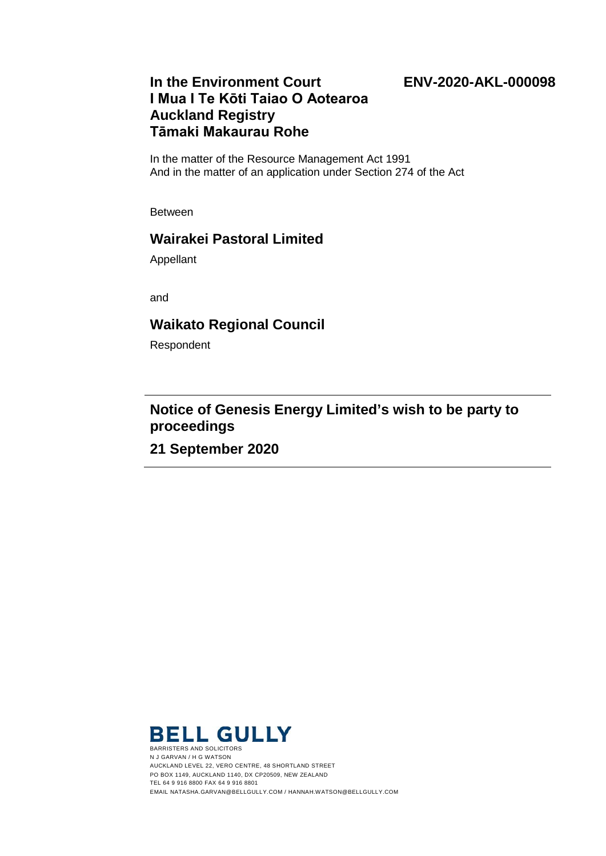#### **ENV-2020-AKL-000098**

# **In the Environment Court I Mua I Te Kōti Taiao O Aotearoa Auckland Registry Tāmaki Makaurau Rohe**

In the matter of the Resource Management Act 1991 And in the matter of an application under Section 274 of the Act

Between

## **Wairakei Pastoral Limited**

Appellant

and

### **Waikato Regional Council**

Respondent

# **Notice of Genesis Energy Limited's wish to be party to proceedings**

**21 September 2020**



N J GARVAN / H G WATSON AUCKLAND LEVEL 22, VERO CENTRE, 48 SHORTLAND STREET PO BOX 1149, AUCKLAND 1140, DX CP20509, NEW ZEALAND TEL 64 9 916 8800 FAX 64 9 916 8801 EMAIL NATASHA.GARVAN@BELLGULLY.COM / HANNAH.WATSON@BELLGULLY.COM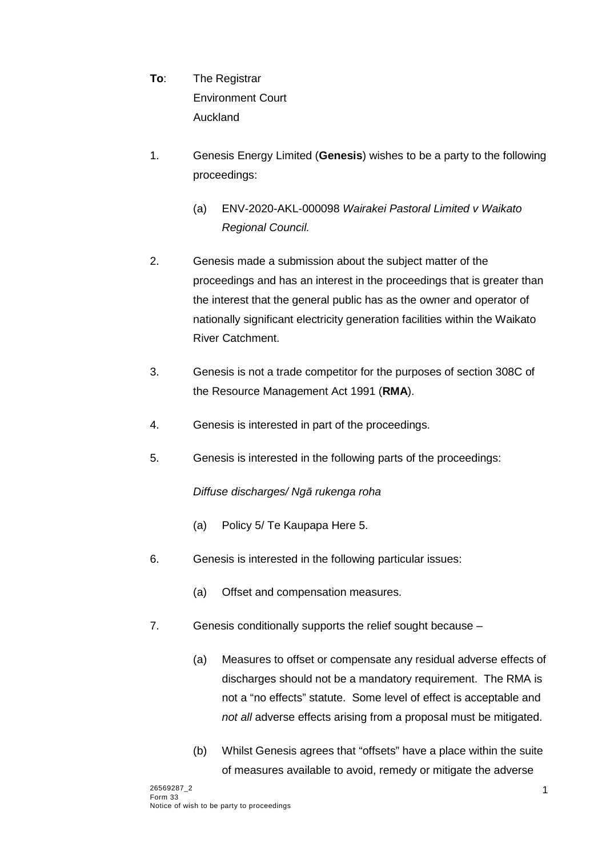- **To**: The Registrar Environment Court Auckland
- 1. Genesis Energy Limited (**Genesis**) wishes to be a party to the following proceedings:
	- (a) ENV-2020-AKL-000098 *Wairakei Pastoral Limited v Waikato Regional Council.*
- 2. Genesis made a submission about the subject matter of the proceedings and has an interest in the proceedings that is greater than the interest that the general public has as the owner and operator of nationally significant electricity generation facilities within the Waikato River Catchment.
- 3. Genesis is not a trade competitor for the purposes of section 308C of the Resource Management Act 1991 (**RMA**).
- 4. Genesis is interested in part of the proceedings.
- 5. Genesis is interested in the following parts of the proceedings:

### *Diffuse discharges/ Ngā rukenga roha*

- (a) Policy 5/ Te Kaupapa Here 5.
- 6. Genesis is interested in the following particular issues:
	- (a) Offset and compensation measures.
- 7. Genesis conditionally supports the relief sought because
	- (a) Measures to offset or compensate any residual adverse effects of discharges should not be a mandatory requirement. The RMA is not a "no effects" statute. Some level of effect is acceptable and *not all* adverse effects arising from a proposal must be mitigated.
	- (b) Whilst Genesis agrees that "offsets" have a place within the suite of measures available to avoid, remedy or mitigate the adverse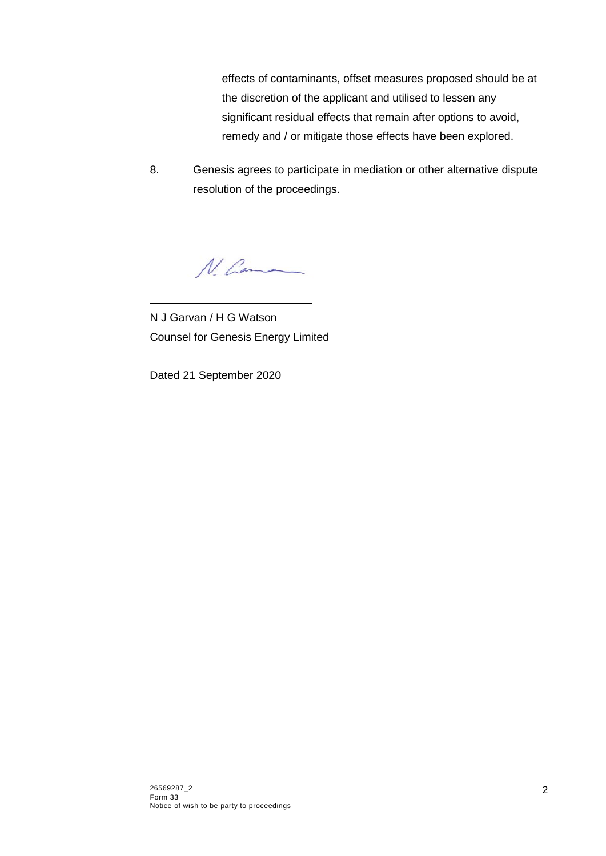effects of contaminants, offset measures proposed should be at the discretion of the applicant and utilised to lessen any significant residual effects that remain after options to avoid, remedy and / or mitigate those effects have been explored.

8. Genesis agrees to participate in mediation or other alternative dispute resolution of the proceedings.

N. Comma

N J Garvan / H G Watson Counsel for Genesis Energy Limited

 $\frac{1}{2}$  ,  $\frac{1}{2}$  ,  $\frac{1}{2}$  ,  $\frac{1}{2}$  ,  $\frac{1}{2}$  ,  $\frac{1}{2}$  ,  $\frac{1}{2}$  ,  $\frac{1}{2}$  ,  $\frac{1}{2}$  ,  $\frac{1}{2}$  ,  $\frac{1}{2}$  ,  $\frac{1}{2}$  ,  $\frac{1}{2}$  ,  $\frac{1}{2}$  ,  $\frac{1}{2}$  ,  $\frac{1}{2}$  ,  $\frac{1}{2}$  ,  $\frac{1}{2}$  ,  $\frac{1$ 

Dated 21 September 2020